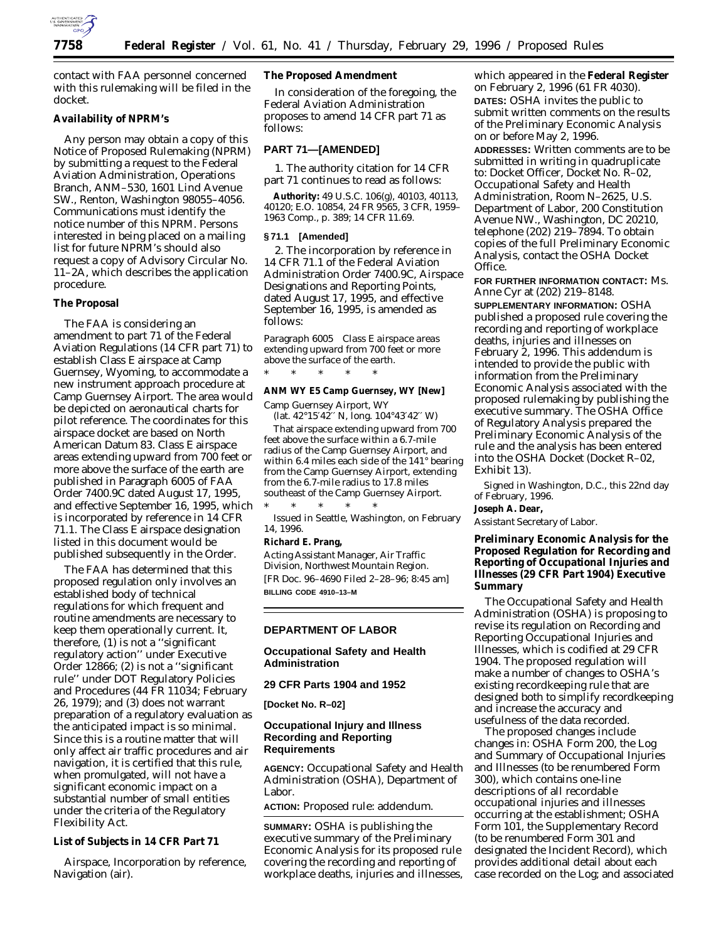

contact with FAA personnel concerned with this rulemaking will be filed in the docket.

#### **Availability of NPRM's**

Any person may obtain a copy of this Notice of Proposed Rulemaking (NPRM) by submitting a request to the Federal Aviation Administration, Operations Branch, ANM–530, 1601 Lind Avenue SW., Renton, Washington 98055–4056. Communications must identify the notice number of this NPRM. Persons interested in being placed on a mailing list for future NPRM's should also request a copy of Advisory Circular No. 11–2A, which describes the application procedure.

#### **The Proposal**

The FAA is considering an amendment to part 71 of the Federal Aviation Regulations (14 CFR part 71) to establish Class E airspace at Camp Guernsey, Wyoming, to accommodate a new instrument approach procedure at Camp Guernsey Airport. The area would be depicted on aeronautical charts for pilot reference. The coordinates for this airspace docket are based on North American Datum 83. Class E airspace areas extending upward from 700 feet or more above the surface of the earth are published in Paragraph 6005 of FAA Order 7400.9C dated August 17, 1995, and effective September 16, 1995, which is incorporated by reference in 14 CFR 71.1. The Class E airspace designation listed in this document would be published subsequently in the Order.

The FAA has determined that this proposed regulation only involves an established body of technical regulations for which frequent and routine amendments are necessary to keep them operationally current. It, therefore, (1) is not a ''significant regulatory action'' under Executive Order 12866; (2) is not a ''significant rule'' under DOT Regulatory Policies and Procedures (44 FR 11034; February 26, 1979); and (3) does not warrant preparation of a regulatory evaluation as the anticipated impact is so minimal. Since this is a routine matter that will only affect air traffic procedures and air navigation, it is certified that this rule, when promulgated, will not have a significant economic impact on a substantial number of small entities under the criteria of the Regulatory Flexibility Act.

**List of Subjects in 14 CFR Part 71**

Airspace, Incorporation by reference, Navigation (air).

**The Proposed Amendment**

In consideration of the foregoing, the Federal Aviation Administration proposes to amend 14 CFR part 71 as follows:

#### **PART 71—[AMENDED]**

1. The authority citation for 14 CFR part 71 continues to read as follows:

**Authority:** 49 U.S.C. 106(g), 40103, 40113, 40120; E.O. 10854, 24 FR 9565, 3 CFR, 1959– 1963 Comp., p. 389; 14 CFR 11.69.

#### **§ 71.1 [Amended]**

2. The incorporation by reference in 14 CFR 71.1 of the Federal Aviation Administration Order 7400.9C, Airspace Designations and Reporting Points, dated August 17, 1995, and effective September 16, 1995, is amended as follows:

*Paragraph 6005 Class E airspace areas extending upward from 700 feet or more above the surface of the earth.* \* \* \* \* \*

**ANM WY E5 Camp Guernsey, WY [New]**

Camp Guernsey Airport, WY (lat. 42°15′42′′ N, long. 104°43′42′′ W)

That airspace extending upward from 700 feet above the surface within a 6.7-mile radius of the Camp Guernsey Airport, and within 6.4 miles each side of the 141° bearing from the Camp Guernsey Airport, extending from the 6.7-mile radius to 17.8 miles southeast of the Camp Guernsey Airport.

\* \* \* \* \* Issued in Seattle, Washington, on February 14, 1996.

**Richard E. Prang,**

*Acting Assistant Manager, Air Traffic Division, Northwest Mountain Region.* [FR Doc. 96–4690 Filed 2–28–96; 8:45 am] **BILLING CODE 4910–13–M**

#### **DEPARTMENT OF LABOR**

### **Occupational Safety and Health Administration**

# **29 CFR Parts 1904 and 1952**

**[Docket No. R–02]**

## **Occupational Injury and Illness Recording and Reporting Requirements**

**AGENCY:** Occupational Safety and Health Administration (OSHA), Department of Labor.

**ACTION:** Proposed rule: addendum.

**SUMMARY:** OSHA is publishing the executive summary of the Preliminary Economic Analysis for its proposed rule covering the recording and reporting of workplace deaths, injuries and illnesses,

which appeared in the **Federal Register** on February 2, 1996 (61 FR 4030). **DATES:** OSHA invites the public to submit written comments on the results of the Preliminary Economic Analysis on or before May 2, 1996.

**ADDRESSES:** Written comments are to be submitted in writing in quadruplicate to: Docket Officer, Docket No. R–02, Occupational Safety and Health Administration, Room N–2625, U.S. Department of Labor, 200 Constitution Avenue NW., Washington, DC 20210, telephone (202) 219–7894. To obtain copies of the full Preliminary Economic Analysis, contact the OSHA Docket Office.

**FOR FURTHER INFORMATION CONTACT:** Ms. Anne Cyr at (202) 219–8148.

**SUPPLEMENTARY INFORMATION:** OSHA published a proposed rule covering the recording and reporting of workplace deaths, injuries and illnesses on February 2, 1996. This addendum is intended to provide the public with information from the Preliminary Economic Analysis associated with the proposed rulemaking by publishing the executive summary. The OSHA Office of Regulatory Analysis prepared the Preliminary Economic Analysis of the rule and the analysis has been entered into the OSHA Docket (Docket R–02, Exhibit 13).

Signed in Washington, D.C., this 22nd day of February, 1996.

**Joseph A. Dear,**

*Assistant Secretary of Labor.*

**Preliminary Economic Analysis for the Proposed Regulation for Recording and Reporting of Occupational Injuries and Illnesses (29 CFR Part 1904) Executive Summary**

The Occupational Safety and Health Administration (OSHA) is proposing to revise its regulation on Recording and Reporting Occupational Injuries and Illnesses, which is codified at 29 CFR 1904. The proposed regulation will make a number of changes to OSHA's existing recordkeeping rule that are designed both to simplify recordkeeping and increase the accuracy and usefulness of the data recorded.

The proposed changes include changes in: OSHA Form 200, the Log and Summary of Occupational Injuries and Illnesses (to be renumbered Form 300), which contains one-line descriptions of all recordable occupational injuries and illnesses occurring at the establishment; OSHA Form 101, the Supplementary Record (to be renumbered Form 301 and designated the Incident Record), which provides additional detail about each case recorded on the Log; and associated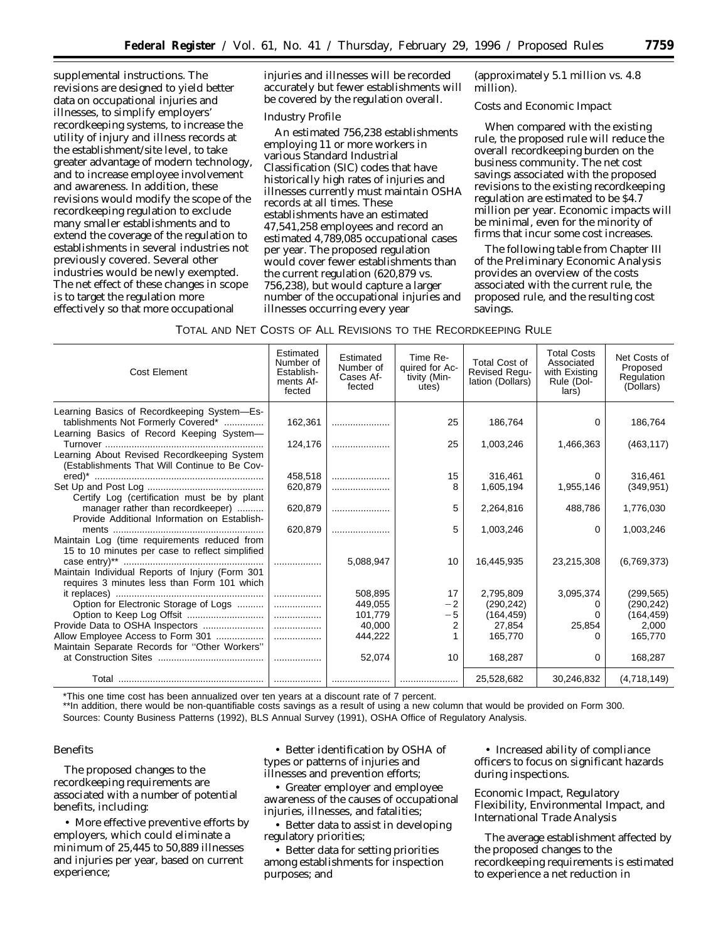supplemental instructions. The revisions are designed to yield better data on occupational injuries and illnesses, to simplify employers' recordkeeping systems, to increase the utility of injury and illness records at the establishment/site level, to take greater advantage of modern technology, and to increase employee involvement and awareness. In addition, these revisions would modify the scope of the recordkeeping regulation to exclude many smaller establishments and to extend the coverage of the regulation to establishments in several industries not previously covered. Several other industries would be newly exempted. The net effect of these changes in scope is to target the regulation more effectively so that more occupational

injuries and illnesses will be recorded accurately but fewer establishments will be covered by the regulation overall.

#### *Industry Profile*

An estimated 756,238 establishments employing 11 or more workers in various Standard Industrial Classification (SIC) codes that have historically high rates of injuries and illnesses currently must maintain OSHA records at all times. These establishments have an estimated 47,541,258 employees and record an estimated 4,789,085 occupational cases per year. The proposed regulation would cover fewer establishments than the current regulation (620,879 vs. 756,238), but would capture a larger number of the occupational injuries and illnesses occurring every year

(approximately 5.1 million vs. 4.8 million).

# *Costs and Economic Impact*

When compared with the existing rule, the proposed rule will reduce the overall recordkeeping burden on the business community. The net cost savings associated with the proposed revisions to the existing recordkeeping regulation are estimated to be \$4.7 million per year. Economic impacts will be minimal, even for the minority of firms that incur some cost increases.

The following table from Chapter III of the Preliminary Economic Analysis provides an overview of the costs associated with the current rule, the proposed rule, and the resulting cost savings.

| TOTAL AND NET COSTS OF ALL REVISIONS TO THE RECORDKEEPING RULE |  |
|----------------------------------------------------------------|--|
|----------------------------------------------------------------|--|

| Cost Element                                                                                 | Estimated<br>Number of<br>Establish-<br>ments Af-<br>fected | Estimated<br>Number of<br>Cases Af-<br>fected | Time Re-<br>quired for Ac-<br>tivity (Min-<br>utes) | <b>Total Cost of</b><br>Revised Regu-<br>lation (Dollars) | <b>Total Costs</b><br>Associated<br>with Existing<br>Rule (Dol-<br>lars) | Net Costs of<br>Proposed<br>Regulation<br>(Dollars) |
|----------------------------------------------------------------------------------------------|-------------------------------------------------------------|-----------------------------------------------|-----------------------------------------------------|-----------------------------------------------------------|--------------------------------------------------------------------------|-----------------------------------------------------|
| Learning Basics of Recordkeeping System-Es-                                                  |                                                             |                                               |                                                     |                                                           |                                                                          |                                                     |
| tablishments Not Formerly Covered*<br>Learning Basics of Record Keeping System-              | 162,361                                                     |                                               | 25                                                  | 186,764                                                   | 0                                                                        | 186,764                                             |
|                                                                                              | 124,176                                                     |                                               | 25                                                  | 1,003,246                                                 | 1,466,363                                                                | (463, 117)                                          |
| Learning About Revised Recordkeeping System<br>(Establishments That Will Continue to Be Cov- |                                                             |                                               |                                                     |                                                           |                                                                          |                                                     |
|                                                                                              | 458,518                                                     |                                               | 15                                                  | 316,461                                                   |                                                                          | 316,461                                             |
|                                                                                              | 620,879                                                     |                                               | 8                                                   | 1,605,194                                                 | 1,955,146                                                                | (349, 951)                                          |
| Certify Log (certification must be by plant                                                  |                                                             |                                               |                                                     |                                                           |                                                                          |                                                     |
| manager rather than recordkeeper)                                                            | 620,879                                                     |                                               | 5                                                   | 2,264,816                                                 | 488,786                                                                  | 1,776,030                                           |
| Provide Additional Information on Establish-                                                 | 620,879                                                     |                                               | 5                                                   | 1,003,246                                                 | $\Omega$                                                                 | 1,003,246                                           |
| Maintain Log (time requirements reduced from                                                 |                                                             |                                               |                                                     |                                                           |                                                                          |                                                     |
| 15 to 10 minutes per case to reflect simplified                                              |                                                             |                                               |                                                     |                                                           |                                                                          |                                                     |
|                                                                                              |                                                             | 5,088,947                                     | 10                                                  | 16,445,935                                                | 23,215,308                                                               | (6,769,373)                                         |
| Maintain Individual Reports of Injury (Form 301                                              |                                                             |                                               |                                                     |                                                           |                                                                          |                                                     |
| requires 3 minutes less than Form 101 which                                                  |                                                             |                                               |                                                     |                                                           |                                                                          |                                                     |
|                                                                                              | .                                                           | 508.895                                       | 17                                                  | 2,795,809                                                 | 3,095,374                                                                | (299, 565)                                          |
| Option for Electronic Storage of Logs                                                        | .                                                           | 449,055                                       | $-2$                                                | (290, 242)                                                |                                                                          | (290, 242)                                          |
|                                                                                              | .                                                           | 101,779                                       | $-5$                                                | (164, 459)                                                |                                                                          | (164, 459)                                          |
| Provide Data to OSHA Inspectors                                                              | .                                                           | 40,000                                        | 2                                                   | 27,854                                                    | 25,854                                                                   | 2,000                                               |
| Allow Employee Access to Form 301                                                            | .                                                           | 444,222                                       |                                                     | 165,770                                                   |                                                                          | 165,770                                             |
| Maintain Separate Records for "Other Workers"                                                | .                                                           | 52,074                                        | 10                                                  | 168,287                                                   | 0                                                                        | 168,287                                             |
|                                                                                              |                                                             |                                               |                                                     |                                                           |                                                                          |                                                     |
|                                                                                              |                                                             |                                               |                                                     | 25,528,682                                                | 30,246,832                                                               | (4,718,149)                                         |

\*This one time cost has been annualized over ten years at a discount rate of 7 percent.

\*\*In addition, there would be non-quantifiable costs savings as a result of using a new column that would be provided on Form 300. Sources: County Business Patterns (1992), BLS Annual Survey (1991), OSHA Office of Regulatory Analysis.

# *Benefits*

The proposed changes to the recordkeeping requirements are associated with a number of potential benefits, including:

• More effective preventive efforts by employers, which could eliminate a minimum of 25,445 to 50,889 illnesses and injuries per year, based on current experience;

• Better identification by OSHA of types or patterns of injuries and illnesses and prevention efforts;

• Greater employer and employee awareness of the causes of occupational injuries, illnesses, and fatalities;

• Better data to assist in developing regulatory priorities;

• Better data for setting priorities among establishments for inspection purposes; and

• Increased ability of compliance officers to focus on significant hazards during inspections.

# *Economic Impact, Regulatory Flexibility, Environmental Impact, and International Trade Analysis*

The average establishment affected by the proposed changes to the recordkeeping requirements is estimated to experience a net reduction in